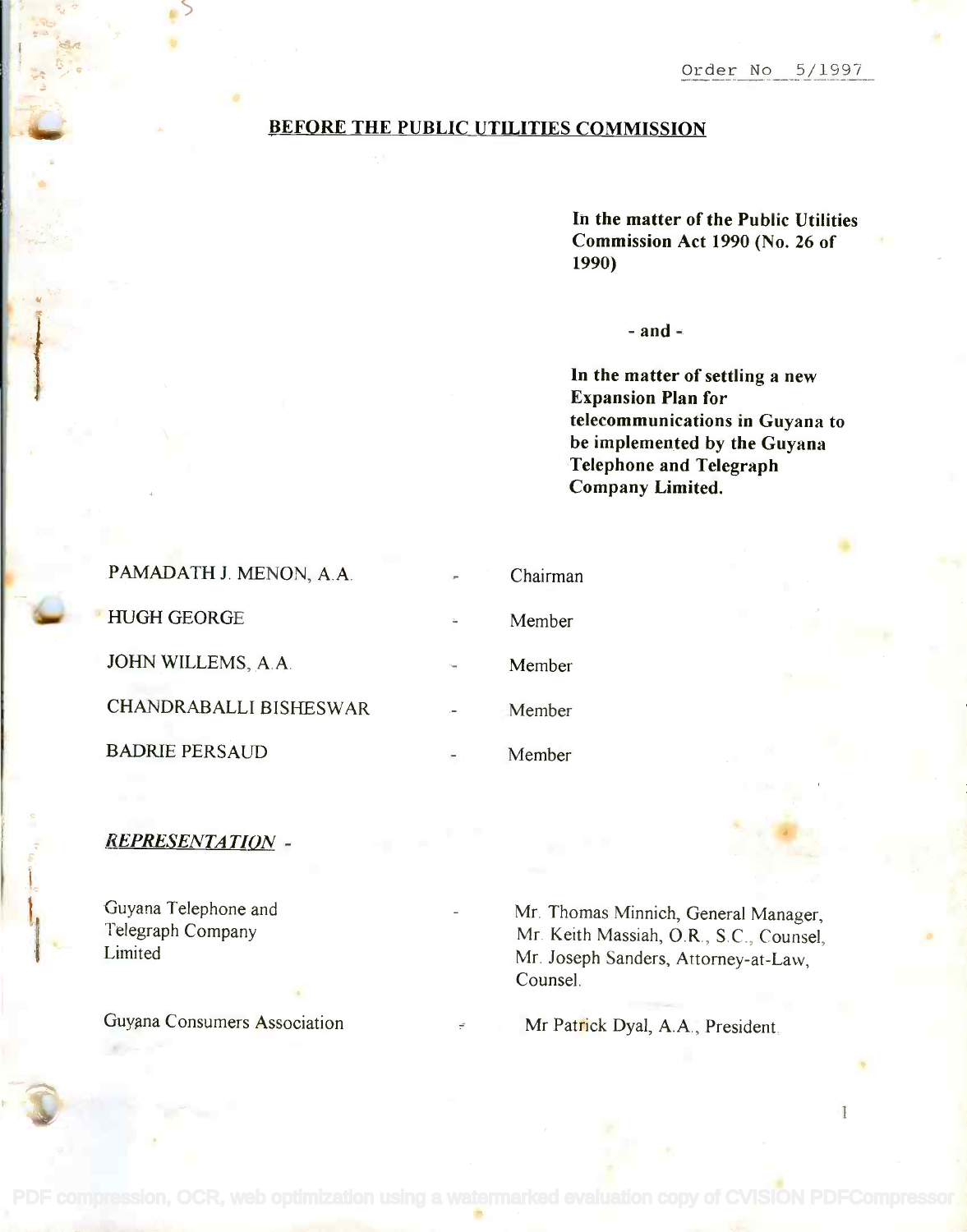### BEFORE THE PUBLIC UTILITIES COMMISSION

In the matter of the Public Utilities **In the matter of the Public Utilities** Commission Act 1990 (No. 26 of **Commission Act 1990 (No. 26 of** 1990) **1990)**

 $-$  and  $-$ 

In the matter of settling a new **In the matter of settling a new** Expansion Plan for **Expansion Plan for** telecommunications in Guyana to **telecommunications in Guyana to** be implemented by the Guyana **be implemented by the Guyana** Telephone and Telegraph **Telephone and Telegraph** Company Limited. **Company Limited.**

| PAMADATH J. MENON, A.A.       | Chairman |
|-------------------------------|----------|
| <b>HUGH GEORGE</b>            | Member   |
| JOHN WILLEMS, A.A.            | Member   |
| <b>CHANDRABALLI BISHESWAR</b> | Member   |
| <b>BADRIE PERSAUD</b>         | Member   |

# REPRESENTATION -

Guyana Telephone and Guyana Telephone and Telegraph Company Telegraph Company Limited Limited

Guyana Consumers Association

Mr. Thomas Minnich, General Manager, Mr. Thomas Minnich, General Manager, Mr. Keith Massiah, O.R., S.C., Counsel, Mr. Keith Massiah, O.R., Sc., Counsel, Mr. Joseph Sanders, Attorney-at-Law, Mr. Joseph Sanders, Attorney-at-Law, Counsel. Counsel.

Mr Patrick Dyal, A.A., President.

1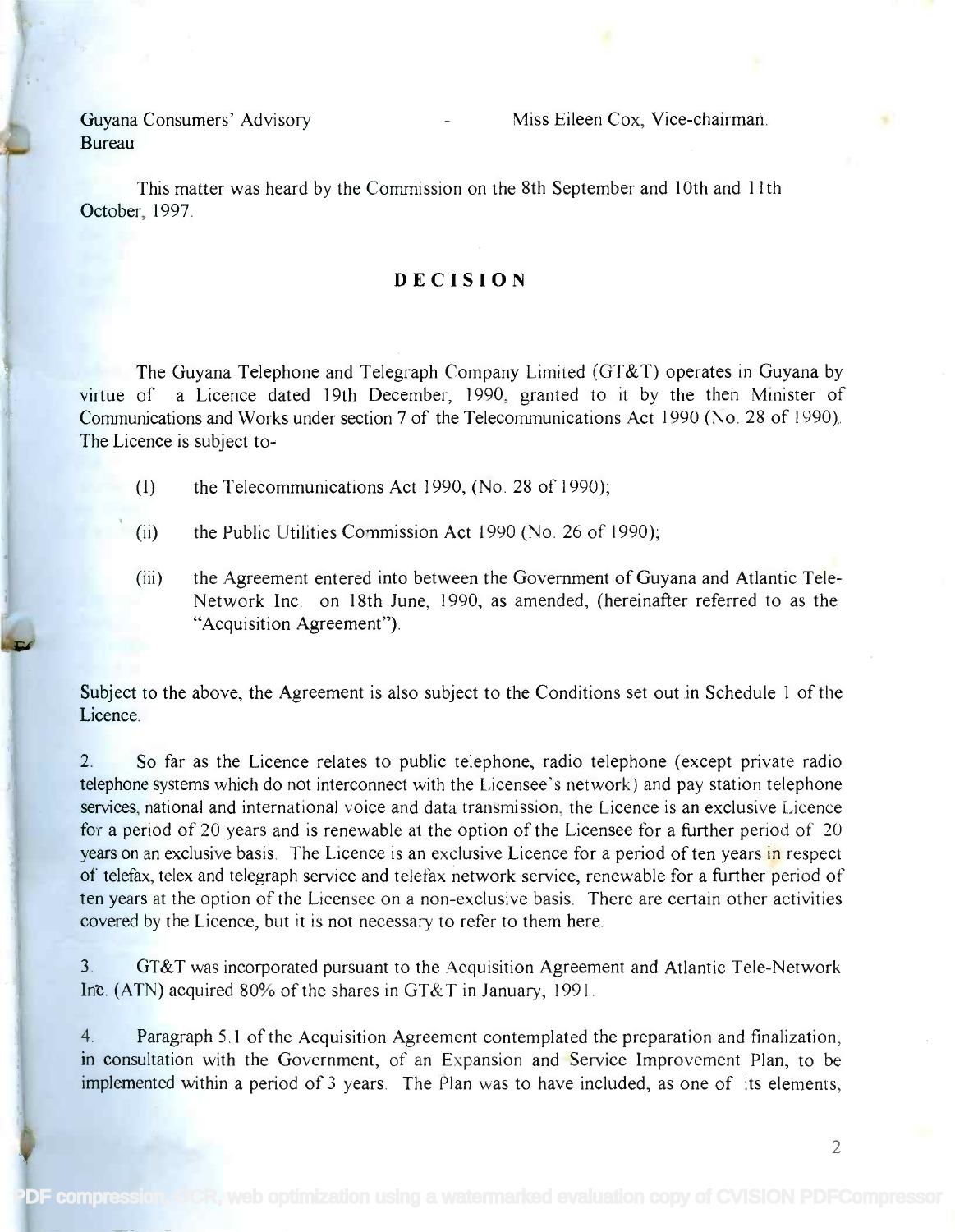Bureau Bureau Guyana Consumers' Advisory

This matter was heard by the Commission on the 8th September and 10th and 11th This matter was heard by the Commission on the 8th September and 10th and 11th October, 1997. October, 1997.

## DECISION

The Guyana Telephone and Telegraph Company Limited (GT&T) operates in Guyana by The Guyana Telephone and Telegraph Company Limited (GT &T) operates in Guyana by virtue of a Licence dated 19th December, 1990, granted to it by the then Minister of Communications and Works under section 7 of the Telecommunications Act 1990 (No. 28 of 1990). Communications and Works under section 7 of the Telecommunications Act 1990 (No. 28 of 1990). The Licence is subject to- The Licence is subject to-

(I) the Telecommunications Act 1990, (No. 28 of 1990);

- (ii) the Public Utilities Commission Act 1990 (No. 26 of 1990);
- (iii) the Agreement entered into between the Government of Guyana and Atlantic Tele-(iii) the Agreement entered into between the Government of Guyana and Atlantic Tele-Network Inc. on 18th June, 1990, as amended, (hereinafter referred to as the Network Inc. on 18th June, 1990, as amended, (hereinafter referred to as the "Acquisition Agreement"). "Acquisition Agreement").

Subject to the above, the Agreement is also subject to the Conditions set out in Schedule 1 of the Subject to the above, the Agreement is also subject to the Conditions set out in Schedule 1 of the Licence. Licence.

2. So far as the Licence relates to public telephone, radio telephone (except private radio 2. So far as the Licence relates to public telephone, radio telephone (except private radio telephone systems which do not interconnect with the Licensee's network) and pay station telephone telephone systems which do not interconnect with the Licensee's network) and pay station telephone services, national and international voice and data transmission, the Licence is an exclusive Licence for a period of 20 years and is renewable at the option of the Licensee for a further period of 20 for a period of 20 years and is renewable at the option of the Licensee for a further period of 20 years on an exclusive basis. The Licence is an exclusive Licence for a period of ten years in respect of telefax, telex and telegraph service and telefax network service, renewable for a further period of ten years at the option of the Licensee on a non-exclusive basis. There are certain other activities ten years at the option of the Licensee on a non-exclusive basis. There are certain other activities covered by the Licence, but it is not necessary to refer to them here. covered by the Licence, but it is not necessary to refer to them here.

3. GT&T was incorporated pursuant to the Acquisition Agreement and Atlantic Tele-Network 3. GT&T was incorporated pursuant to the Acquisition Agreement and Atlantic Tele-Network Inc. (ATN) acquired 80% of the shares in GT&T in January, 1991.

4. Paragraph 5.1 of the Acquisition Agreement contemplated the preparation and finalization, 4. Paragraph 5.1 of the Acquisition Agreement contemplated the preparation and finalization, in consultation with the Government, of an Expansion and Service Improvement Plan, to be in consultation with the Government, of an Expansion and Service Improvement Plan, to be implemented within a period of 3 years. The Plan was to have included, as one of its elements, implemented within a period of 3 years. The Plan was to have included, as one of its elements,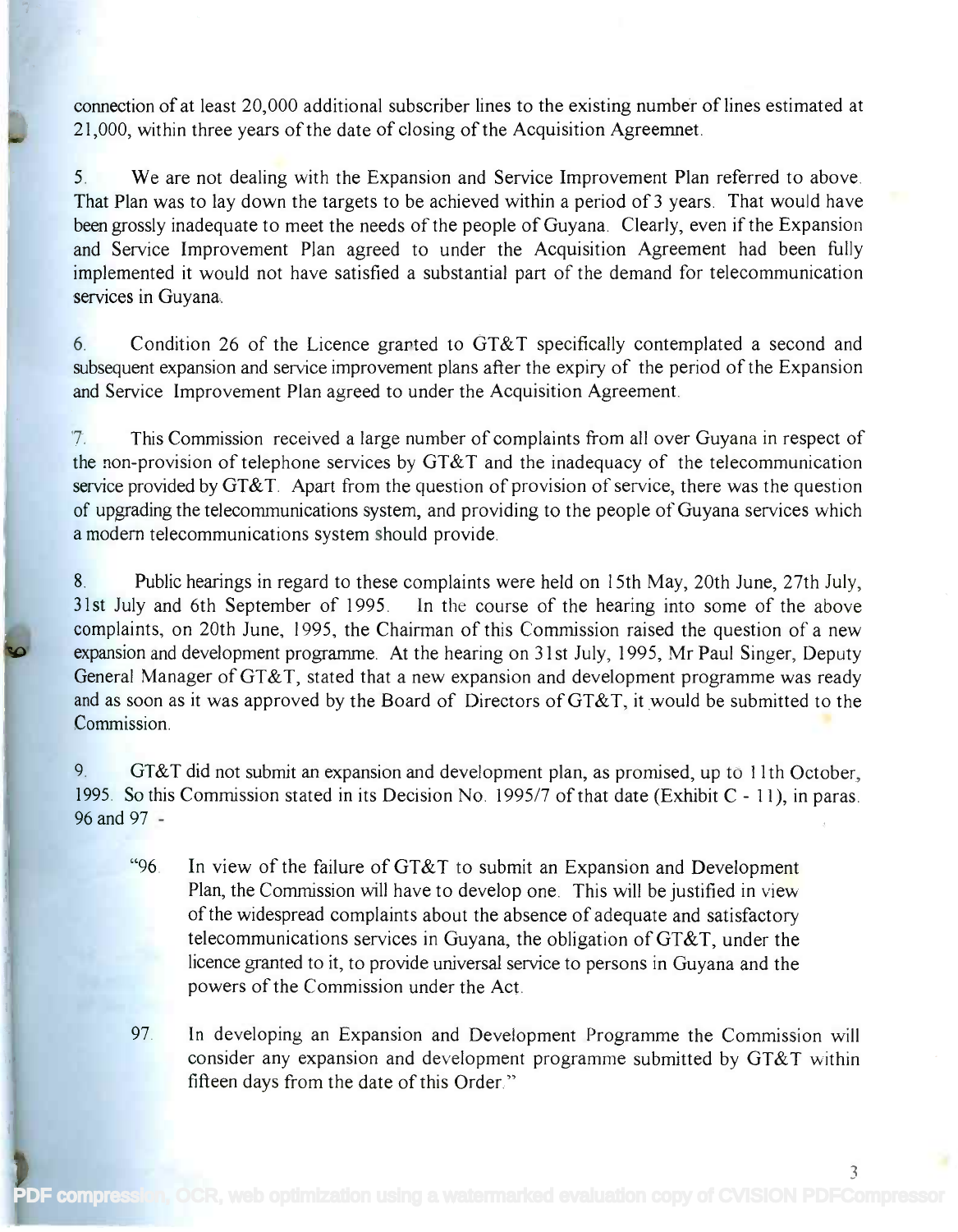connection of at least 20,000 additional subscriber lines to the existing number of lines estimated at connection of at least 20,000 additional subscriber lines to the existing number of lines estimated at 21,000, within three years of the date of closing of the Acquisition Agreemnet.

5. We are not dealing with the Expansion and Service Improvement Plan referred to above. 5. We are not dealing with the Expansion and Service Improvement Plan referred to above. That Plan was to lay down the targets to be achieved within a period of 3 years. That would have been grossly inadequate to meet the needs of the people of Guyana. Clearly, even if the Expansion been grossly inadequate to meet the needs of the people of Guyana. Clearly, even if the Expansion and Service Improvement Plan agreed to under the Acquisition Agreement had been fully and Service Improvement Plan agreed to under the Acquisition Agreement had been fully implemented it would not have satisfied a substantial part of the demand for telecommunication implemented it would not have satisfied a substantial part of the demand for telecommunication services in Guyana. services in Guyana.

6. Condition 26 of the Licence granted to GT&T specifically contemplated a second and 6. Condition 26 of the Licence granted to GT&T specifically contemplated a second and subsequent expansion and service improvement plans after the expiry of the period of the Expansion subsequent expansion and service improvement plans after the expiry of the period of the Expansion and Service Improvement Plan agreed to under the Acquisition Agreement. and Service Improvement Plan agreed to under the Acquisition Agreement.

7. This Commission received a large number of complaints from all over Guyana in respect of 7. This Commission received a large number of complaints from all over Guyana in respect of the non-provision of telephone services by GT&T and the inadequacy of the telecommunication the non-provision of telephone services by OT&T and the inadequacy of the telecommunication service provided by GT&T. Apart from the question of provision of service, there was the question of upgrading the telecommunications system, and providing to the people of Guyana services which of upgrading the telecommunications system, and providing to the people of Guyana services which a modern telecommunications system should provide. a modem telecommunications system should provide.

8. Public hearings in regard to these complaints were held on 15th May, 20th June, 27th July, 8. Public hearings in regard to these complaints were held on 15th May, 20th June, 27th July, 31st July and 6th September of 1995. In the course of the hearing into some of the above 31st July and 6th September of 1995. In the course of the hearing into some of the above complaints, on 20th June, 1995, the Chairman of this Commission raised the question of a new complaints, on 20th June, 1995, the Chairman of this Commission raised the question of a new expansion and development programme. At the hearing on 31st July, 1995, Mr Paul Singer, Deputy General Manager of GT&T, stated that a new expansion and development programme was ready and as soon as it was approved by the Board of Directors of GT&T, it would be submitted to the and as soon as it was approved by the Board of Directors ofGT&T, it would be submitted to the Commission. Commission.

9. GT&T did not submit an expansion and development plan, as promised, up to 11th October, 1995. So this Commission stated in its Decision No. 1995/7 of that date (Exhibit C- 11), in paras. 1995. So this Commission stated in its Decision No. 1995/7 of that date (Exhibit C - 11), in paras. 96 and 97 - 96 and 97 -

- "96. In view of the failure of GT&T to submit an Expansion and Development "96. In view of the failure of OT&T to submit an Expansion and Development Plan, the Commission will have to develop one. This will be justified in view of the widespread complaints about the absence of adequate and satisfactory of the widespread complaints about the absence of adequate and satisfactory telecommunications services in Guyana, the obligation of  $G T\&T$ , under the licence granted to it, to provide universal service to persons in Guyana and the licence granted to it, to provide universal service to persons in Guyana and the powers of the Commission under the Act. powers of the Commission under the Act.
- 97. In developing an Expansion and Development Programme the Commission will 97. In developing an Expansion and Development Programme the Commission will consider any expansion and development programme submitted by GT&T within fifteen days from the date of this Order " fifteen days from the date of this Order."

3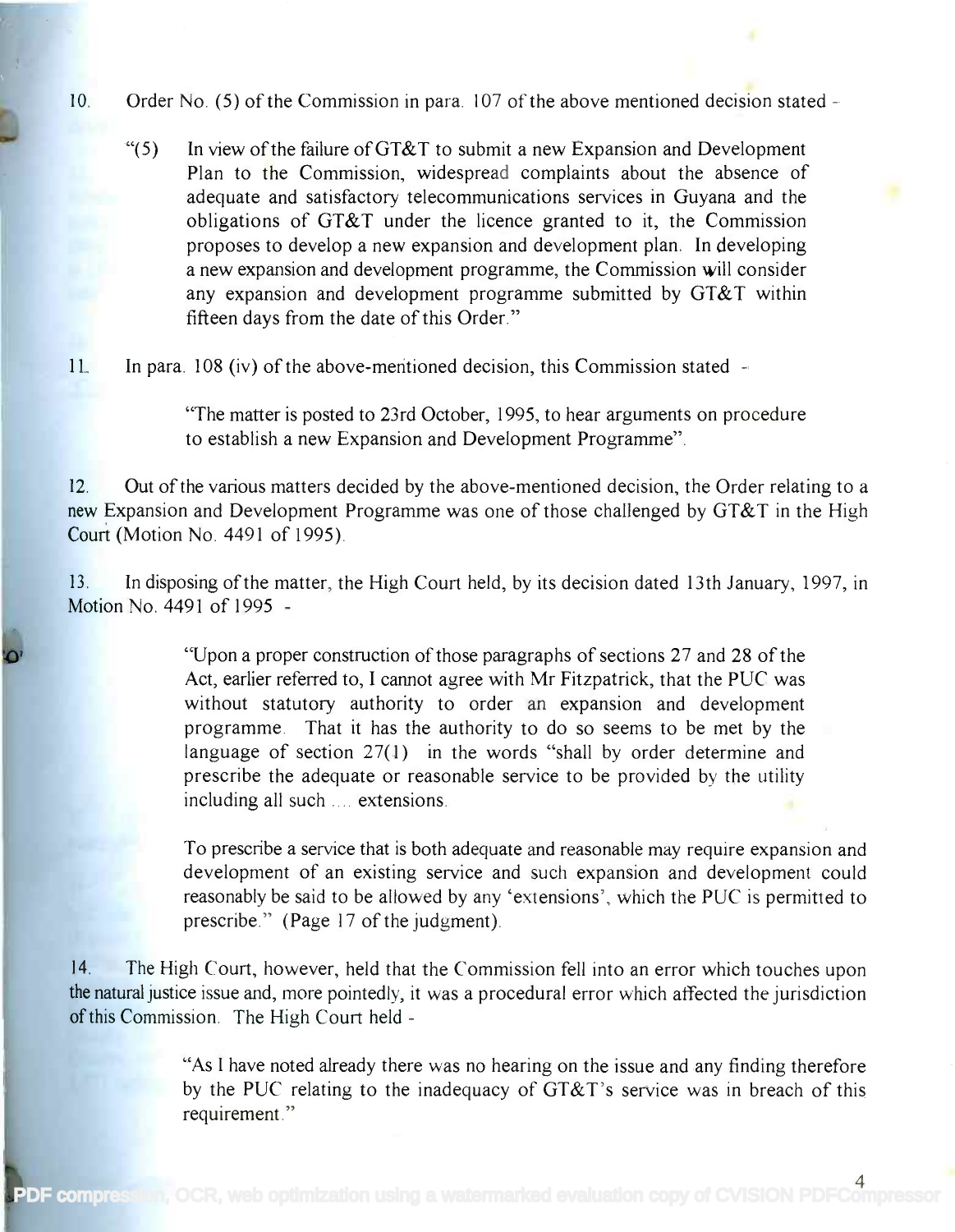### 10. Order No. (5) of the Commission in para. 107 of the above mentioned decision stated

"(5) In view of the failure of GT&T to submit a new Expansion and Development "(5) In view of the failure ofGT&T to submit a new Expansion and Development Plan to the Commission, widespread complaints about the absence of Plan to the Commission, widespread complaints about the absence of adequate and satisfactory telecommunications services in Guyana and the adequate and satisfactory telecommunications services in Guyana and the obligations of GT&T under the licence granted to it, the Commission obligations of GT&T under the licence granted to it, the Commission proposes to develop a new expansion and development plan. In developing proposes to develop a new expansion and development plan. In developing a new expansion and development programme, the Commission will consider a new expansion and development programme, the Commission will consider any expansion and development programme submitted by GT&T within any expansion and development programme submitted by GT&T within fifteen days from the date of this Order." fifteen days from the date of this Order."

11. In para. 108 (iv) of the above-mentioned decision, this Commission stated

"The matter is posted to 23rd October, 1995, to hear arguments on procedure "The matter is posted to 23rd October, 1995, to hear arguments on procedure to establish a new Expansion and Development Programme". to establish a new Expansion and Development Programme".

12. Out of the various matters decided by the above-mentioned decision, the Order relating to a 12. Out of the various matters decided by the above-mentioned decision, the Order relating to a new Expansion and Development Programme was one of those challenged by GT&T in the High new Expansion and Development Programme was one of those challenged by GT&T in the High Court (Motion No. 4491 of 1995). Court (Motion No. 4491 of 1995).

13. In disposing of the matter, the High Court held, by its decision dated 13th January, 1997, in 13. In disposing of the matter, the High Court held, by its decision dated 13th January, 1997, in Motion No. 4491 of 1995 - Motion No. 4491 of 1995 -

> "Upon a proper construction of those paragraphs of sections 27 and 28 of the "Upon a proper construction of those paragraphs of sections 27 and 28 of the Act, earlier referred to, I cannot agree with Mr Fitzpatrick, that the PUC was Act, earlier referred to, I cannot agree with Mr Fitzpatrick, that the PUC was without statutory authority to order an expansion and development without statutory authority to order an expansion and development programme. That it has the authority to do so seems to be met by the programme. That it has the authority to do so seems to be met by the language of section 27(1) in the words "shall by order determine and language of section 27(1) in the words "shall by order determine and prescribe the adequate or reasonable service to be provided by the utility prescribe the adequate or reasonable service to be provided by the utility including all such .... extensions. including all such .... extensions.

To prescribe a service that is both adequate and reasonable may require expansion and To prescribe a service that is both adequate and reasonable may require expansion and development of an existing service and such expansion and development could development of an existing service and such expansion and development could reasonably be said to be allowed by any 'extensions', which the PUC is permitted to reasonably be said to be allowed by any 'extensions', which the PUC is permitted to prescribe." (Page 17 of the judgment). prescribe." (Page 17 of the judgment).

14. The High Court, however, held that the Commission fell into an error which touches upon 14. The High Court, however, held that the Commission fell into an error which touches upon the natural justice issue and, more pointedly, it was a procedural error which affected the jurisdiction the naturaljustice issue and, more pointedly, it was a procedural error which affected the jurisdiction of this Commission. The High Court held -

> "As I have noted already there was no hearing on the issue and any finding therefore "As I have noted already there was no hearing on the issue and any finding therefore by the PUC relating to the inadequacy of GT&T's service was in breach of this by the PUC relating to the inadequacy of GT&T's service was in breach of this requirement." requirement. "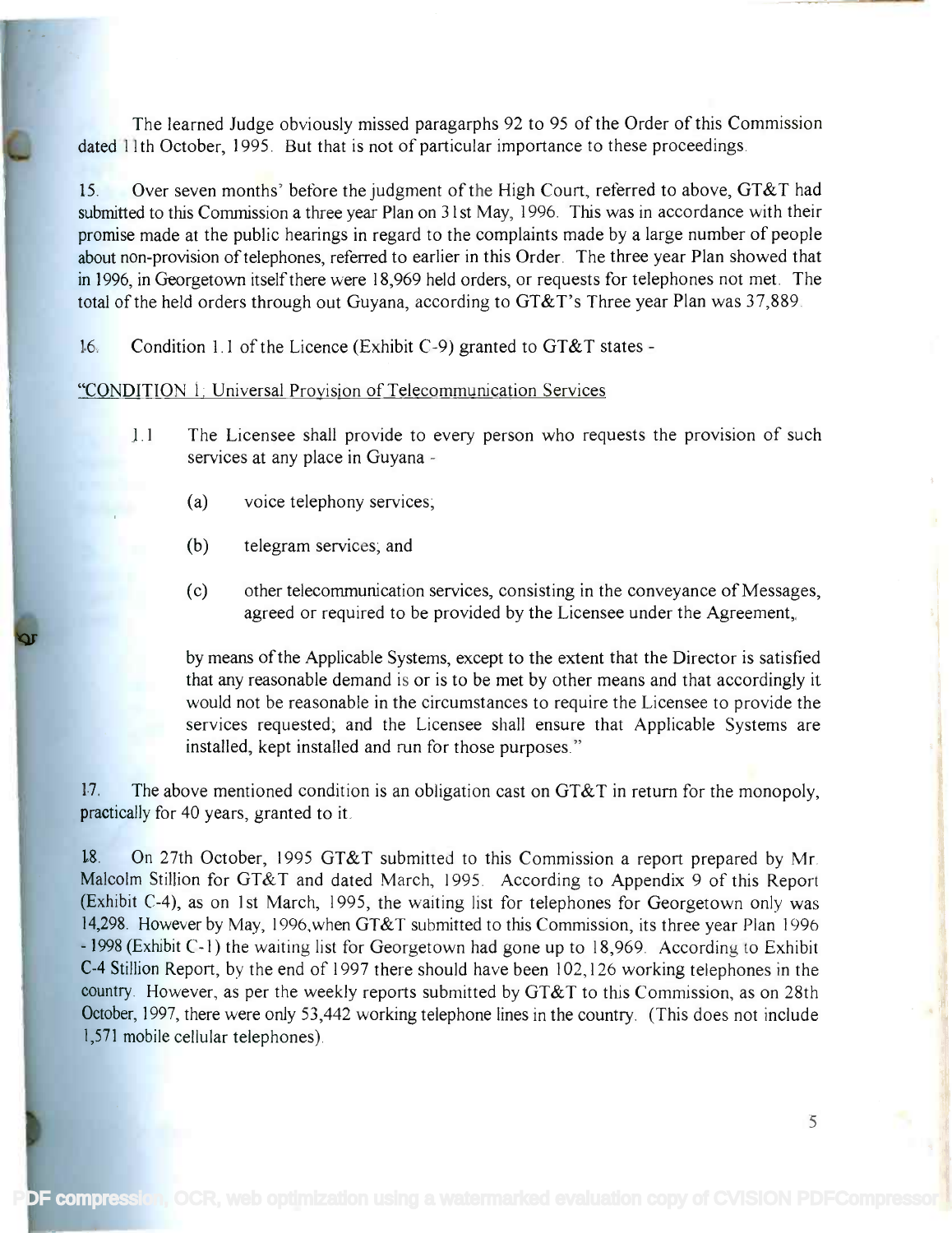The learned Judge obviously missed paragarphs 92 to 95 of the Order of this Commission The learned Judge obviously missed paragarphs 92 to 95 of the Order of this Commission dated 11th October, 1995. But that is not of particular importance to these proceedings. dated 11th October, 1995. But that is not of particular importance to these proceedings.

15. Over seven months' before the judgment of the High Court, referred to above, GT&T had 15. Over seven months' before the judgment of the High Court, referred to above, GT&Thad submitted to this Commission a three year Plan on 31st May, 1996. This was in accordance with their promise made at the public hearings in regard to the complaints made by a large number of people promise made at the public hearings in regard to the complaints made by a large number of people about non-provision of telephones, referred to earlier in this Order. The three year Plan showed that in 1996, in Georgetown itself there were 18,969 held orders, or requests for telephones not met. The in 1996, in Georgetown itself there were 18,969 held orders, or requests for telephones not met. The total of the held orders through out Guyana, according to GT&T's Three year Plan was 37,889. total of the held orders through out Guyana, according to GT&T's Three year Plan was 37,889

16. Condition 1.1 of the Licence (Exhibit C-9) granted to  $GT&T$  states -

"CONDITION 1: Universal Provision of Telecommunication Services

- 1.1 The Licensee shall provide to every person who requests the provision of such 1.1 The Licensee shall provide to every person who requests the provision of such services at any place in Guyana services at any place in Guyana -
	- (a) voice telephony services;
	- (b) telegram services; and
	- (c) other telecommunication services, consisting in the conveyance of Messages, (c) other telecommunication services, consisting in the conveyance of Messages, agreed or required to be provided by the Licensee under the Agreement, agreed or required to be provided by the Licensee under the Agreement,

by means of the Applicable Systems, except to the extent that the Director is satisfied by means of the Applicable Systems, except to the extent that the Director is satisfied that any reasonable demand is or is to be met by other means and that accordingly it would not be reasonable in the circumstances to require the Licensee to provide the would not be reasonable in the circumstances to require the Licensee to provide the services requested; and the Licensee shall ensure that Applicable Systems are services requested; and the Licensee shall ensure that Applicable Systems are installed, kept installed and run for those purposes." installed, kept instal1ed and run for those purposes."

17. The above mentioned condition is an obligation cast on GT&T in return for the monopoly, 17. The above mentioned condition is an obligation cast on GT&T in return for the monopoly, practically for 40 years, granted to it.

18. On 27th October, 1995 GT&T submitted to this Commission a report prepared by Mr. 18. On 27th October, 1995 GT&T submitted to this Commission a report prepared by Mr. Malcolm Stillion for GT&T and dated March, 1995. According to Appendix 9 of this Report Malcolm Stillion for GT&T and dated March, 1995 According to Appendix 9 of this Report (Exhibit C-4), as on 1st March, 1995, the waiting list for telephones for Georgetown only was (Exhibit C-4), as on 1st March, 1995, the waiting list for telephones for Georgetown only was 14,298. However by May, 1996,when GT&T submitted to this Commission, its three year Plan 1996 14,298. However by May, I996,when GT&T submitted to this Commission, its three year Plan 1996 - 1998 (Exhibit C-1) the waiting list for Georgetown had gone up to 18,969. According to Exhibit - 1998(ExhibitC-l) the waiting list for Georgetown had gone up to 18,969. According to Exhibit C-4 Stillion Report, by the end of 1997 there should have been 102,126 working telephones in the country. However, as per the weekly reports submitted by GT&T to this Commission, as on 28th country. However, as per the weekly reports submitted by GT&T to this Commission, as on 28th October, 1997, there were only 53,442 working telephone lines in the country. (This does not include 1,571 mobile cellular telephones). 1,571mobile cellular telephones).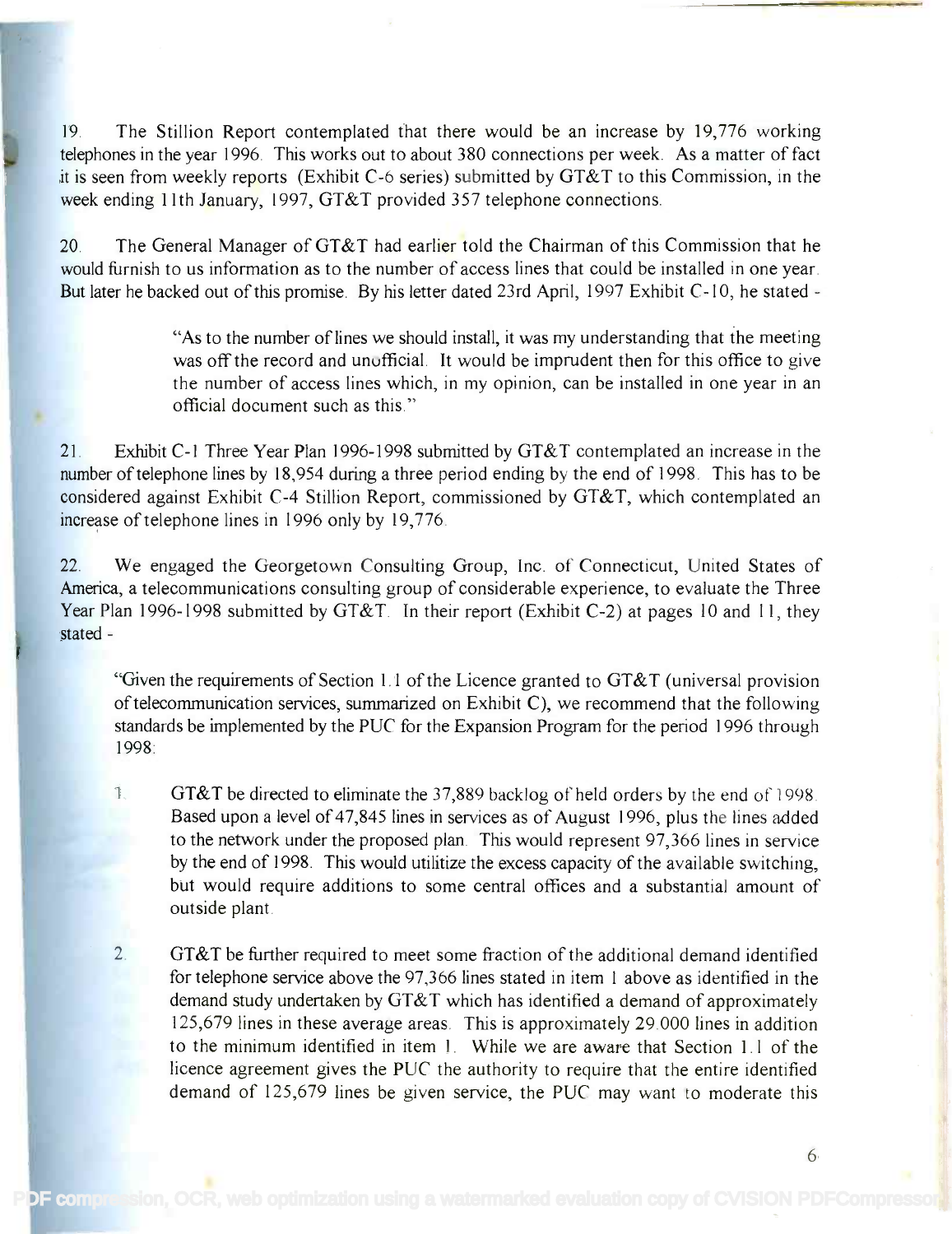19. The Stillion Report contemplated that there would be an increase by 19,776 working 19. The Stillion Report contemplated that there would be an increase by 19,776 working telephones in the year 1996. This works out to about 380 connections per week. As a matter of fact telephones in the year 1996. This works out to about 380 connections per week. As a matter of fact it is seen from weekly reports (Exhibit C-6 series) submitted by GT&T to this Commission, in the it is seen from weekly reports (Exhibit *C-6* series) submitted by GT &T to this Commission, in the week ending 11th January, 1997, GT&T provided 357 telephone connections.

20. The General Manager of GT&T had earlier told the Chairman of this Commission that he would furnish to us information as to the number of access lines that could be installed in one year. would furnish to us information as to the number of access lines that could be installed in one year. But later he backed out of this promise. By his letter dated 23rd April, 1997 Exhibit C-10, he stated But later he backed out of this promise. By his letter dated 23rd April, 1997 Exhibit *C-l* 0, he stated -

> "As to the number of lines we should install, it was my understanding that the meeting "As to the number oflines we should install, it was my understanding that the meeting was off the record and unofficial. It would be imprudent then for this office to give was off the record and unofficial. It would be imprudent then for this office to give the number of access lines which, in my opinion, can be installed in one year in an the number of access lines which, in my opinion, can be installed in one year in an official document such as this." official document such as this."

21. Exhibit C-1 Three Year Plan 1996-1998 submitted by GT&T contemplated an increase in the 21. Exhibit *C-l* Three Year Plan 1996-1998 submitted by GT & T contemplated an increase in the number of telephone lines by 18,954 during a three period ending by the end of 1998. This has to be considered against Exhibit C-4 Stillion Report, commissioned by GT&T, which contemplated an considered against Exhibit *C-4* Stillion Report, commissioned by GT &T, which contemplated an increase of telephone lines in 1996 only by 19,776.

22. We engaged the Georgetown Consulting Group, Inc. of Connecticut, United States of 22. We engaged the Georgetown Consulting Group, Inc. of Connecticut, United States of America, a telecommunications consulting group of considerable experience, to evaluate the Three America, a telecommunications consulting group of considerable experience, to evaluate the Three Year Plan 1996-1998 submitted by GT&T. In their report (Exhibit C-2) at pages 10 and 11, they stated - stated -

"Given the requirements of Section 1.1 of the Licence granted to GT&T (universal provision "Given the requirements of Section 1.1 of the Licence granted to GT&T (universal provision of telecommunication services, summarized on Exhibit C), we recommend that the following of telecommunication services, summarized on Exhibit *C),* we recommend that the following standards be implemented by the PUC for the Expansion Program for the period 1996 through 1998: 1998:

- $\blacksquare$  GT&T be directed to eliminate the 37,889 backlog of held orders by the end of 1998. Based upon a level of 47,845 lines in services as of August 1996, plus the lines added Based upon a level of 47,845 lines in services as of August 1996, plus the lines added to the network under the proposed plan. This would represent 97,366 lines in service to the network under the proposed plan. This would represent 97,366 lines in service by the end of 1998. This would utilitize the excess capacity of the available switching, but would require additions to some central offices and a substantial amount of but would require additions to some central offices and a substantial amount of outside plant. outside plant.
- 2. GT&T be further required to meet some fraction of the additional demand identified 2. GT&T be further required to meet some fraction of the additional demand identified for telephone service above the 97,366 lines stated in item 1 above as identified in the for telephone service above the 97,366 lines stated in item 1 above as identified in the demand study undertaken by  $G T\& T$  which has identified a demand of approximately 125,679 lines in these average areas. This is approximately 29.000 lines in addition 125,679 lines in these average areas. This is approximately 29.000 lines in addition to the minimum identified in item 1. While we are aware that Section 1.1 of the licence agreement gives the PUC the authority to require that the entire identified licence agreement gives the PUC the authority to require that the entire identified demand of 125,679 lines be given service, the PUC may want to moderate this

PDF compression, OCR, web optimization using a watermarked evaluation copy of CVISION PDF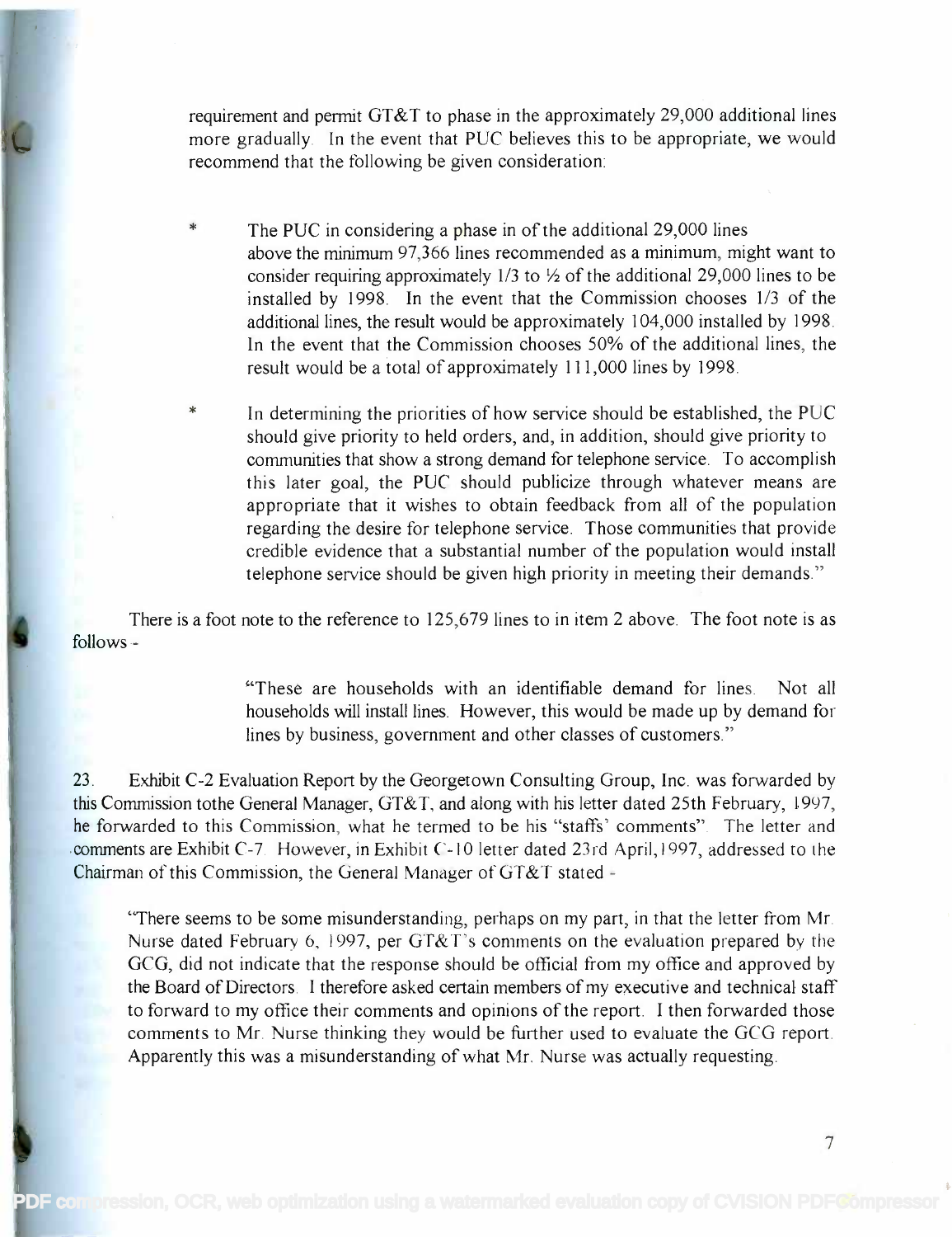requirement and permit GT&T to phase in the approximately 29,000 additional lines requirement and permit GT &T to phase in the approximately 29,000 additional lines more gradually. In the event that PUC believes this to be appropriate, we would more gradually In the event that PUC believes this to be appropriate, we would recommend that the following be given consideration: recommend that the following be given consideration:

- $\ast$ The PUC in considering a phase in of the additional 29,000 lines The PUC in considering a phase in of the additional 29,000 lines above the minimum 97,366 lines recommended as a minimum, might want to above the minimum 97,366 lines recommended as a minimum, might want to consider requiring approximately  $1/3$  to  $\frac{1}{2}$  of the additional 29,000 lines to be installed by 1998. In the event that the Commission chooses 1/3 of the installed by 1998. In the event that the Commission chooses 1/3 of the additional lines, the result would be approximately 104,000 installed by 1998. additional lines, the result would be approximately 104,000 installed by 1998. In the event that the Commission chooses 50% of the additional lines, the In the event that the Commission chooses 50% of the additional lines, the result would be a total of approximately 111,000 lines by 1998. result would be a total of approximately 111,000 lines by 1998.
- $\ast$ In determining the priorities of how service should be established, the PUC In determining the priorities of how service should be established, the PUC should give priority to held orders, and, in addition, should give priority to should give priority to held orders, and, in addition, should give priority to communities that show a strong demand for telephone service. To accomplish communities that show a strong demand for telephone service. To accomplish this later goal, the PUC should publicize through whatever means are this later goal, the PUC should publicize through whatever means are appropriate that it wishes to obtain feedback from all of the population appropriate that it wishes to obtain feedback from all of the population regarding the desire for telephone service. Those communities that provide regarding the desire for telephone service. Those communities that provide credible evidence that a substantial number of the population would install credible evidence that a substantial number of the population would install telephone service should be given high priority in meeting their demands." telephone service should be given high priority in meeting their demands."

There is a foot note to the reference to 125,679 lines to in item 2 above. The foot note is as follows - follows -

> "These are households with an identifiable demand for lines. Not all "These are households with an identifiable demand for lines. Not all households will install lines. However, this would be made up by demand for households will install lines. However, this would be made up by demand for lines by business, government and other classes of customers." lines by business, government and other classes of customers."

23. Exhibit C-2 Evaluation Report by the Georgetown Consulting Group, Inc. was forwarded by 23. Exhibit C-2 Evaluation Report by the Georgetown Consulting Group, Inc. was forwarded by this Commission tothe General Manager, GT&T, and along with his letter dated 25th February, 1997, he forwarded to this Commission, what he termed to be his "staffs' comments". The letter and he forwarded to this Commission, what he termed to be his "staffs' comments" The letter and comments are Exhibit C-7. However, in Exhibit C-10 letter dated 23rd Apri1,1997, addressed to the comments are Exhibit C-7. However, in Exhibit C-1 0 letter dated 23rd April, 1997, addressed to the Chairman of this Commission, the General Manager of GT&T stated - Chairman of this Commission, the General Manager of GT & T stated -

"There seems to be some misunderstanding, perhaps on my part, in that the letter from Mr. "There seems to be some misunderstanding, perhaps on my part, in that the letter from Mr Nurse dated February 6, 1997, per GT&T's comments on the evaluation prepared by the Nurse dated February 6, 1997, per GT&T's comments on the evaluation prepared by the GCG, did not indicate that the response should be official from my office and approved by GCG, did not indicate that the response should be official from my office and approved by the Board of Directors. I therefore asked certain members of my executive and technical staff to forward to my office their comments and opinions of the report. I then forwarded those comments to Mr. Nurse thinking they would be further used to evaluate the GCG report. comments to Mr. Nurse thinking they would be further used to evaluate the GCG report. Apparently this was a misunderstanding of what Mr. Nurse was actually requesting. Apparently this was a misunderstanding of what Mr. Nurse was actually requesting.

PDF compression, OCR, web optimization using a watermarked evaluation copy of CVISION PDFGompressor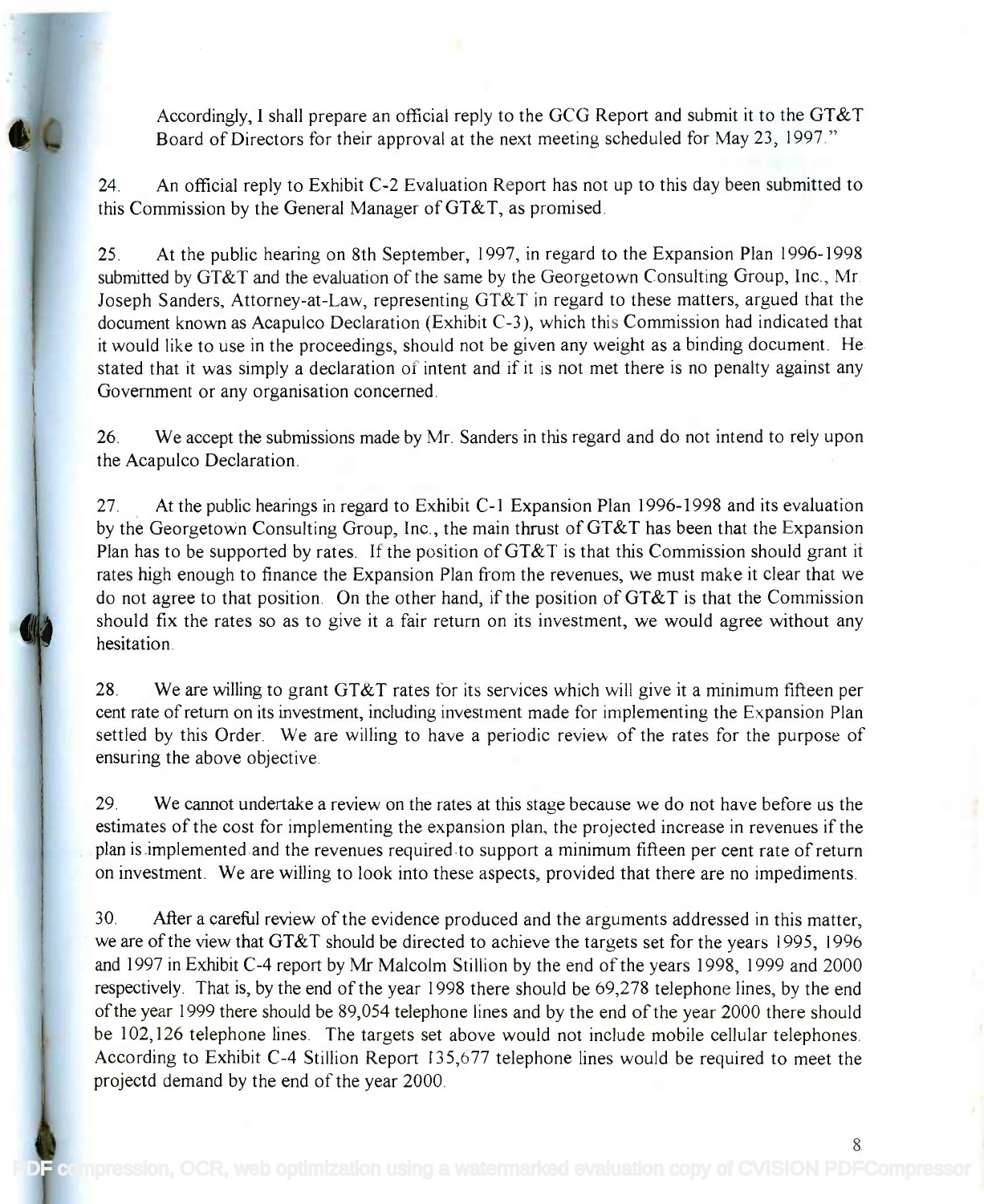Accordingly, I shall prepare an official reply to the GCG Report and submit it to the GT&T Accordingly, I shall prepare an official reply to the GCG Report and submit it to the GT&T Board of Directors for their approval at the next meeting scheduled for May 23, 1997." Board of Directors for their approval at the next meeting scheduled for May 23, 1997."

24. An official reply to Exhibit C-2 Evaluation Report has not up to this day been submitted to 24. An official reply to Exhibit C-2 Evaluation R port has not up to this day been submitted to this Commission by the General Manager of GT&T, as promised. this Commission by the General Manager ofGT&T, as promised.

25. At the public hearing on 8th September, 1997, in regard to the Expansion Plan 1996-1998 25. At the public hearing on 8th September, 1997, in regard to the Expansion Plan 1996-1998 submitted by GT&T and the evaluation of the same by the Georgetown Consulting Group, Inc., Mr. submitted by GT&T and the evaluation of the same by the Georgetown Consulting Group, Inc., Mr. Joseph Sanders, Attorney-at-Law, representing GT&T in regard to these matters, argued that the Joseph Sanders, Attorney-at-Law, representing GT&T in regard to these matters, argued that the document known as Acapulco Declaration (Exhibit C-3), which this Commission had indicated that document known as Acapulco Declaration (Exhibit C-3), which this Commission had indicated that it would like to use in the proceedings, should not be given any weight as a binding document. He it would like to use in the proceedings, should not be given any weight as a binding document. He stated that it was simply a declaration of intent and if it is not met there is no penalty against any Government or any organisation concerned. Government or any organisation concerned.

26. We accept the submissions made by Mr. Sanders in this regard and do not intend to rely upon 26. We accept the submissions made by Mr. Sanders in this regard and do not intend to rely upon the Acapulco Declaration. the Acapulco Declaration.

27. At the public hearings in regard to Exhibit C-1 Expansion Plan 1996-1998 and its evaluation 27. . At the public hearings in regard to Exhibit C-1 Expansion Plan 1996-1998 and its evaluation by the Georgetown Consulting Group, Inc., the main thrust of GT&T has been that the Expansion by the Georgetown Consulting Group, Inc., the main thrust of GT&T has been that the Expansion Plan has to be supported by rates. If the position of  $G T \& T$  is that this Commission should grant it rates high enough to finance the Expansion Plan from the revenues, we must make it clear that we rates high enough to finance the Expansion Plan from the revenues, we must make it clear that we do not agree to that position. On the other hand, if the position of GT&T is that the Commission do not agree to that position. On the other hand, if the position of GT&T is that the Commission should fix the rates so as to give it a fair return on its investment, we would agree without any should fix the rates so as to give it a fair return on its investment, we would agree without any hesitation. hesitation.

28. We are willing to grant GT&T rates for its services which will give it a minimum fifteen per 28. We are willing to grant GT&T rates for its services which will give it a minimum fifteen per cent rate of return on its investment, including investment made for implementing the Expansion Plan cent rate of return on its investment, including investment made for implementing the Expansion Plan settled by this Order. We are willing to have a periodic review of the rates for the purpose of settled by this Order. We are willing to have a periodic review of the rates for the purpose of ensuring the above objective. ensuring the above objective.

29. We cannot undertake a review on the rates at this stage because we do not have before us the 29. We cannot undertake a review on the rates at this stage because we do not have before us the estimates of the cost for implementing the expansion plan, the projected increase in revenues if the estimates of the cost for implementing the expansion plan, the projected increase in revenues if the plan is implemented and the revenues required to support a minimum fifteen per cent rate of return plan is implemented and the revenues required to support a minimum fifteen per cent rate of return on investment. We are willing to look into these aspects, provided that there are no impediments. on investment. We are willing to look into these aspects, provided that there are no impediments.

30. After a careful review of the evidence produced and the arguments addressed in this matter, 30. After a careful review of the evidence produced and the arguments addressed in this matter, we are of the view that GT&T should be directed to achieve the targets set for the years 1995, 1996 we are of the view that GT&T should be directed to achieve the targets set for the years 1995, 1996 and 1997 in Exhibit C-4 report by Mr Malcolm Stillion by the end of the years 1998, 1999 and 2000 and 1997 in Exhibit C-4 report by Mr Malcolm Stillion by the end of the years 1998, 1999 and 2000 respectively. That is, by the end of the year 1998 there should be 69,278 telephone lines, by the end respectively. That is, by the end of the year 1998 there should be 69,278 telephone lines, by the end of the year 1999 there should be 89,054 telephone lines and by the end of the year 2000 there should of the year 1999 there should be 89,054 telephone lines and by the end of the year 2000 there should be 102,126 telephone lines. The targets set above would not include mobile cellular telephones. be 102,126 telephone lines. The targets set above would not include mobile cellular telephones. According to Exhibit C-4 Stillion Report 135,677 telephone lines would be required to meet the According to Exhibit C-4 Stillion Report 135,677 telephone lines would be required to meet the projectd demand by the end of the year 2000. projectd demand by the end of the year 2000.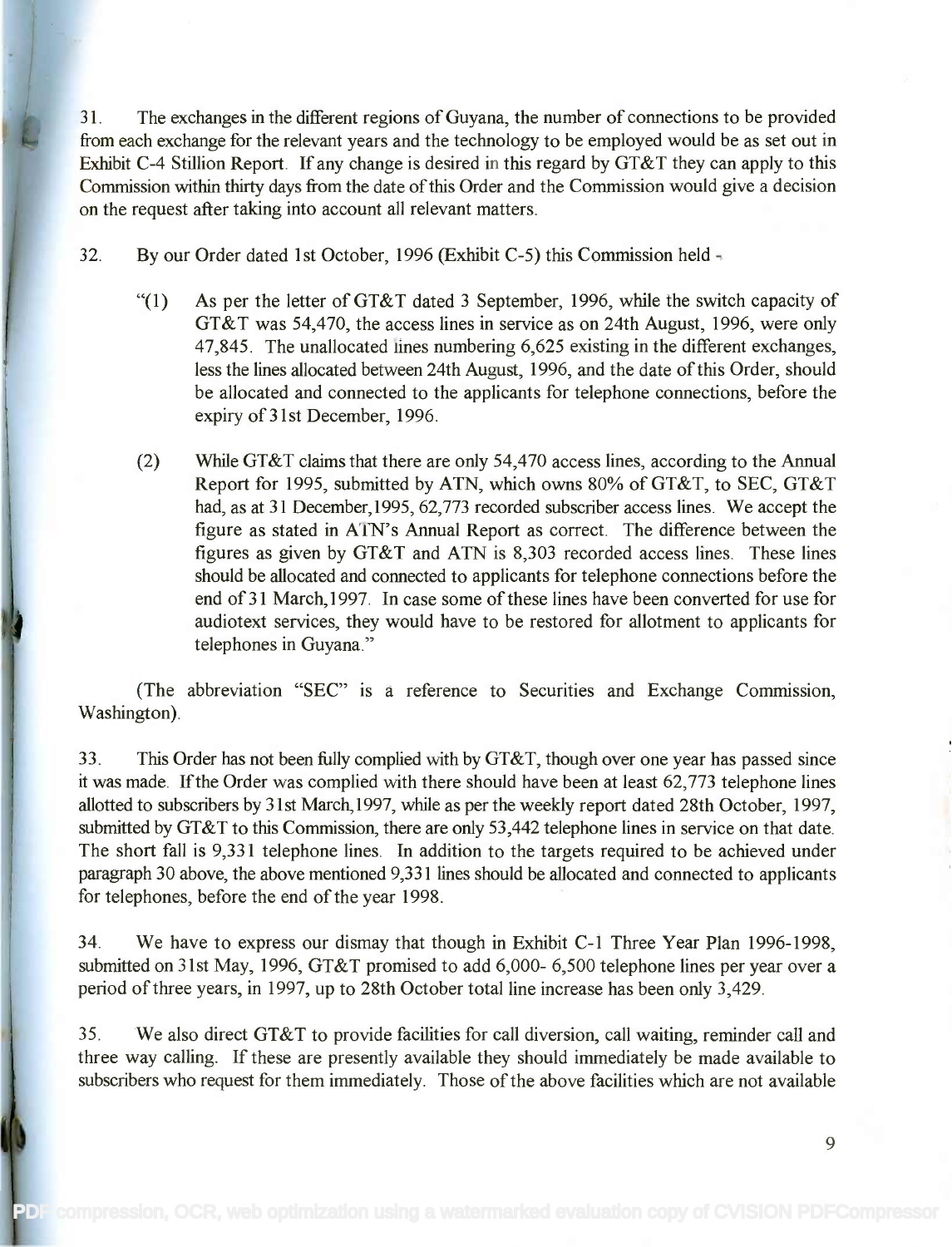31. The exchanges in the different regions of Guyana, the number of connections to be provided 31. The exchanges in the different regions of Guyana, the number of connections to be provided from each exchange for the relevant years and the technology to be employed would be as set out in from each exchange for the relevant years and the technology to be employed would be as set out in Exhibit C-4 Stillion Report. If any change is desired in this regard by GT&T they can apply to this Exhibit C-4 Stillion Report. If any change is desired in this regard by GT&T they can apply to this Commission within thirty days from the date of this Order and the Commission would give a decision Commission within thirty days from the date of this Order and the Commission would give a decision on the request after taking into account all relevant matters. on the request after taking into account all relevant matters.

32. By our Order dated 1st October, 1996 (Exhibit C-5) this Commission held -

- "(1) As per the letter of GT&T dated 3 September, 1996, while the switch capacity of "(1) As per the letter of GT&T dated 3 September, 1996, while the switch capacity of GT&T was 54,470, the access lines in service as on 24th August, 1996, were only GT&T was 54,470, the access lines in service as on 24th August, 1996, were only 47,845. The unallocated lines numbering 6,625 existing in the different exchanges, 47,845. The unallocated lines numbering 6,625 existing in the different exchanges, less the lines allocated between 24th August, 1996, and the date of this Order, should less the lines allocated between 24th August, 1996, and the date of this Order, should be allocated and connected to the applicants for telephone connections, before the be allocated and connected to the applicants for telephone connections, before the expiry of 31st December, 1996. expiry of 31st December, 1996.
- (2) While GT&T claims that there are only 54,470 access lines, according to the Annual (2) While GT&T claims that there are only 54,470 access lines, according to the Annual Report for 1995, submitted by ATN, which owns 80% of GT&T, to SEC, GT&T Report for 1995, submitted by ATN, which owns 80% ofGT&T, to SEC, GT&T had, as at 31 December,1995, 62,773 recorded subscriber access lines. We accept the had, as at 31 December, 1995, 62,773 recorded subscriber access lines. We accept the figure as stated in ATN's Annual Report as correct. The difference between the figures as given by GT&T and ATN is 8,303 recorded access lines. These lines figures as given by GT&T and ATN is 8,303 recorded access lines. These lines should be allocated and connected to applicants for telephone connections before the should be allocated and connected to applicants for telephone connections before the end of 31 March, 1997. In case some of these lines have been converted for use for audiotext services, they would have to be restored for allotment to applicants for audiotext services, they would have to be restored for allotment to applicants for telephones in Guyana." telephones in Guyana."

(The abbreviation "SEC" is a reference to Securities and Exchange Commission, (The abbreviation "SEC" is a reference to Securities and Exchange Commission, Washington). Washington) .

33. This Order has not been fully complied with by GT&T, though over one year has passed since 33. This Order has not been fully complied with by GT&T, though over one year has passed since it was made. If the Order was complied with there should have been at least 62,773 telephone lines it was made. If the Order was complied with there should have been at least 62,773 telephone lines allotted to subscribers by 31st March,1997, while as per the weekly report dated 28th October, 1997, allotted to subscribers by 31st March, 1997, while as per the weekly report dated 28th October, 1997, submitted by GT&T to this Commission, there are only 53,442 telephone lines in service on that date. submitted by GT&T to this Commission, there are only 53,442 telephone lines in service on that date. The short fall is 9,331 telephone lines. In addition to the targets required to be achieved under The short fall is 9,331 telephone lines. In addition to the targets required to be achieved under paragraph 30 above, the above mentioned 9,331 lines should be allocated and connected to applicants paragraph 30 above, the above mentioned 9,331 lines should be allocated and connected to applicants for telephones, before the end of the year 1998. for telephones, before the end of the year 1998.

34. We have to express our dismay that though in Exhibit C-1 Three Year Plan 1996-1998, 34. We have to express our dismay that though in Exhibit C-l Three Year Plan 1996-1998, submitted on 31st May, 1996, GT&T promised to add 6,000- 6,500 telephone lines per year over a submitted on 31st May, 1996, GT&T promised to add 6,000- 6,500 telephone lines per year over a period of three years, in 1997, up to 28th October total line increase has been only 3,429. period of three years, in 1997, up to 28th October total line increase has been only 3,429.

35. We also direct GT&T to provide facilities for call diversion, call waiting, reminder call and 35. We also direct GT&T to provide facilities for call diversion, call waiting, reminder call and three way calling. If these are presently available they should immediately be made available to three way calling. If these are presently available they should immediately be made available to subscribers who request for them immediately. Those of the above facilities which are not available subscribers who request for them immediately. Those of the above facilities which are not available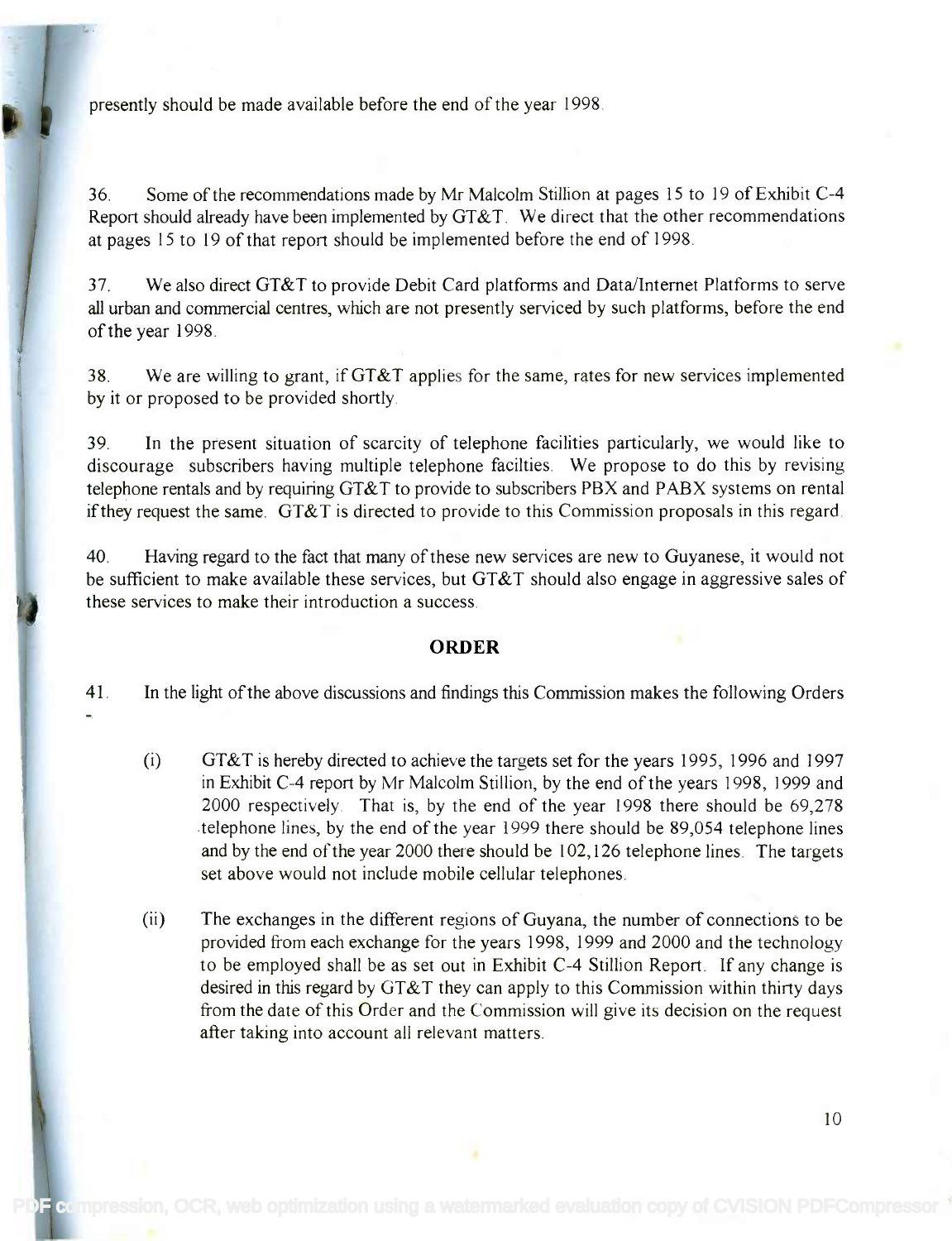presently should be made available before the end of the year 1998.

36. Some of the recommendations made by Mr Malcolm Stillion at pages 15 to 19 of Exhibit C-4 36. Some of the recommendations made by Mr Malcolm Stillion at pages 15 to 19 of Exhibit C-4 Report should already have been implemented by GT&T. We direct that the other recommendations Report should already have been implemented by GT&T. We direct that the other recommendations at pages 15 to 19 of that report should be implemented before the end of 1998. at pages 15 to 19 of that report should be implemented before the end of 1998.

37. We also direct GT&T to provide Debit Card platforms and Data/Internet Platforms to serve 37. We also direct GT&T to provide Debit Card platforms and Data/Internet Platforms to serve all urban and commercial centres, which are not presently serviced by such platforms, before the end all urban and commercial centres, which are not presently serviced by such platforms, before the end of the year 1998. of the year 1998.

38. We are willing to grant, if GT&T applies for the same, rates for new services implemented 38. We are willing to grant, ifGT&T applies for the same, rates for new services implemented by it or proposed to be provided shortly. by it or proposed to be provided shortly.

39. In the present situation of scarcity of telephone facilities particularly, we would like to 39. In the present situation of scarcity of telephone facilities particularly, we would like to discourage subscribers having multiple telephone facilties. We propose to do this by revising discourage subscribers having multiple telephone facilties. We propose to do this by revising telephone rentals and by requiring GT&T to provide to subscribers PBX and PABX systems on rental telephone rentals and by requiring GT&T to provide to subscribers PBX and PABX systems on rental if they request the same. GT&T is directed to provide to this Commission proposals in this regard. if they request the same. GT&T is directed to provide to this Commission proposals in this regard.

40. Having regard to the fact that many of these new services are new to Guyanese, it would not 40. Having regard to the fact that many of these new services are new to Guyanese, it would not be sufficient to make available these services, but GT&T should also engage in aggressive sales of be sufficient to make available these services, but GT&T should also engage in aggressive sales of these services to make their introduction a success. these services to make their introduction a success.

#### **ORDER**

41. In the light of the above discussions and findings this Commission makes the following Orders

- $(i)$  GT&T is hereby directed to achieve the targets set for the years 1995, 1996 and 1997 in Exhibit C-4 report by Mr Malcolm Stillion, by the end of the years 1998, 1999 and in Exhibit C-4 report by Mr Malcolm Stillion, by the end of the years 1998, 1999 and 2000 respectively. That is, by the end of the year 1998 there should be 69,278 2000 respectively That is, by the end of the year 1998 there should be 69,278 telephone lines, by the end of the year 1999 there should be 89,054 telephone lines telephone lines, by the end of the year 1999 there should be 89,054 telephone lines and by the end of the year 2000 there should be 102,126 telephone lines. The targets and by the end of the year 2000 there should be 102,126 telephone lines. The targets set above would not include mobile cellular telephones. set above would not include mobile cellular telephones.
- (ii) The exchanges in the different regions of Guyana, the number of connections to be (ii) The exchanges in the different regions of Guyana, the number of connections to be provided from each exchange for the years 1998, 1999 and 2000 and the technology provided from each exchange for the years 1998, 1999 and 2000 and the technology to be employed shall be as set out in Exhibit C-4 Stillion Report. If any change is to be employed shall be as set out in Exhibit C-4 Stillion Report. If any change is desired in this regard by GT&T they can apply to this Commission within thirty days desired in this regard by GT&T they can apply to this Commission within thirty days from the date of this Order and the Commission will give its decision on the request after taking into account all relevant matters. after taking into account all relevant matters.

[PDF compression, OCR, web optimization using a watermarked evaluation copy of CVISION PDFCompressor](http://www.cvisiontech.com)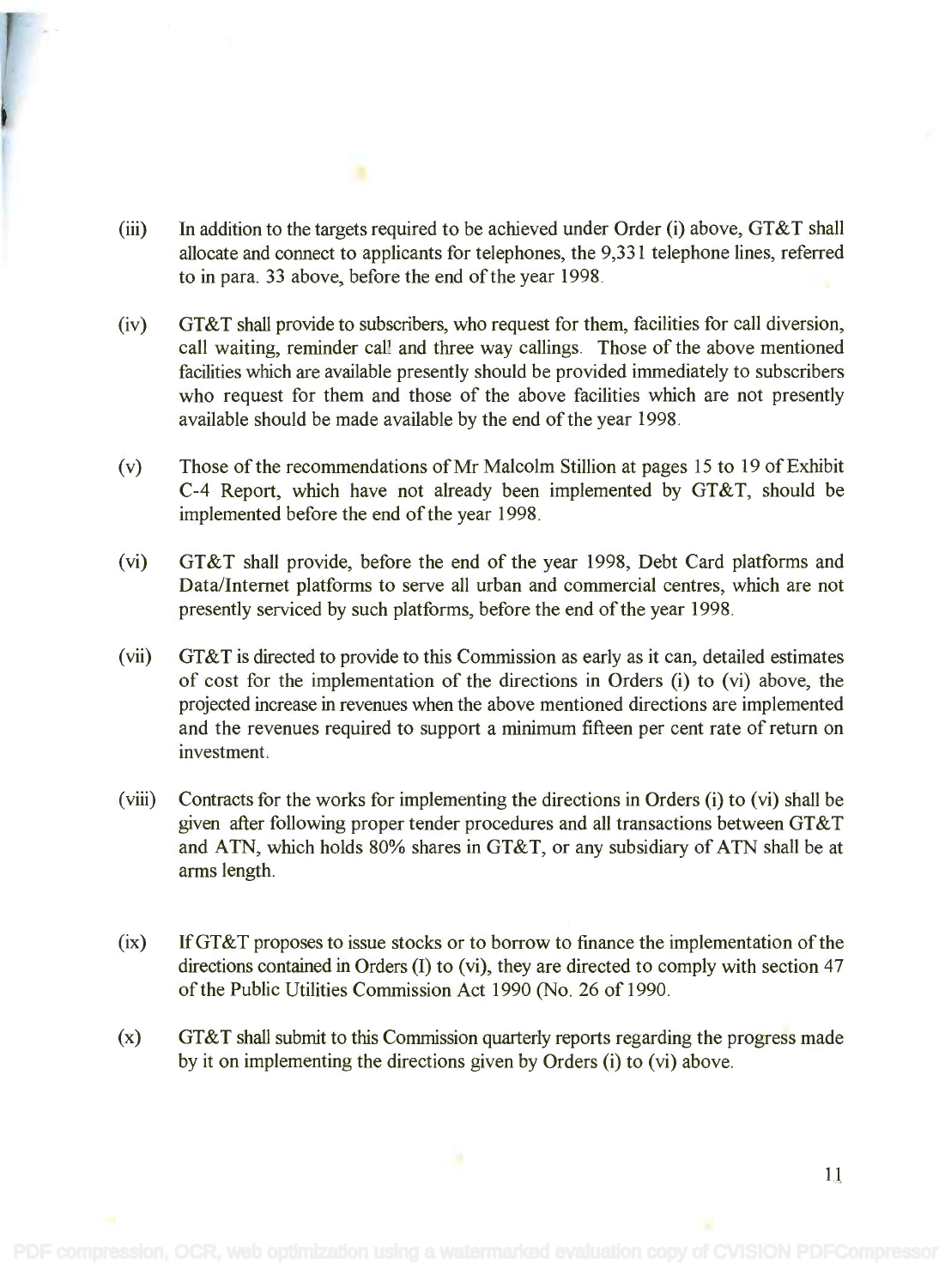- (iii) In addition to the targets required to be achieved under Order (i) above, GT&T shall (iii) In addition to the targets required to be achieved under Order (i) above, GT&T shall allocate and connect to applicants for telephones, the 9,331 telephone lines, referred allocate and connect to applicants for telephones, the 9,331 telephone lines, referred to in para. 33 above, before the end of the year 1998. to in para. 33 above, before the end of the year 1998.
- (iv) GT&T shall provide to subscribers, who request for them, facilities for call diversion, (iv) GT&T shall provide to subscribers, who request for them, facilities for call diversion, call waiting, reminder call and three way callings. Those of the above mentioned facilities which are available presently should be provided immediately to subscribers facilities which are available presently should be provided immediately to subscribers who request for them and those of the above facilities which are not presently who request for them and those of the above facilities which are not presently available should be made available by the end of the year 1998. available should be made available by the end ofthe year 1998.
- (v) Those of the recommendations of Mr Malcolm Stillion at pages 15 to 19 of Exhibit (v) Those of the recommendations ofMr Malcolm Stillion at pages 15 to 19 of Exhibit C-4 Report, which have not already been implemented by GT&T, should be C-4 Report, which have not already been implemented by GT&T, should be implemented before the end of the year 1998. implemented before the end of the year 1998.
- (vi) GT&T shall provide, before the end of the year 1998, Debt Card platforms and (vi) GT&T shall provide, before the end of the year 1998, Debt Card platforms and Data/Internet platforms to serve all urban and commercial centres, which are not Data/Internet platforms to serve all urban and commercial centres, which are not presently serviced by such platforms, before the end of the year 1998. presently serviced by such platforms, before the end of the year 1998.
- (vii) GT&T is directed to provide to this Commission as early as it can, detailed estimates (vii) GT&T is directed to provide to this Commission as early as it can, detailed estimates of cost for the implementation of the directions in Orders (i) to (vi) above, the of cost for the implementation of the directions in Orders (i) to (vi) above, the projected increase in revenues when the above mentioned directions are implemented projected increase in revenues when the above mentioned directions are implemented and the revenues required to support a minimum fifteen per cent rate of return on and the revenues required to support a minimum fifteen per cent rate of return on investment. investment.
- (viii) Contracts for the works for implementing the directions in Orders (i) to (vi) shall be (viii) Contracts for the works for implementing the directions in Orders (i) to (vi) shall be given after following proper tender procedures and all transactions between GT&T given after following proper tender procedures and all transactions between GT&T and ATN, which holds 80% shares in GT&T, or any subsidiary of ATN shall be at arms length. arms length.
- (ix) If GT&T proposes to issue stocks or to borrow to finance the implementation of the (ix) IfGT&T proposes to issue stocks or to borrow to finance the implementation of the directions contained in Orders (I) to (vi), they are directed to comply with section 47 directions contained in Orders (I) to (vi), they are directed to comply with section 47 of the Public Utilities Commission Act 1990 (No. 26 of 1990. of the Public Utilities Commission Act 1990 (No. 26 of 1990.
- (x) GT&T shall submit to this Commission quarterly reports regarding the progress made by it on implementing the directions given by Orders (i) to (vi) above. by it on implementing the directions given by Orders (i) to (vi) above.